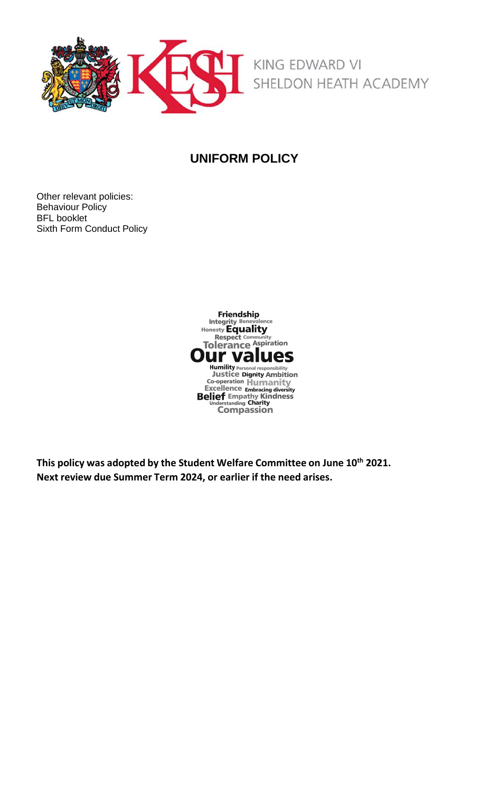

## **UNIFORM POLICY**

Other relevant policies: Behaviour Policy BFL booklet Sixth Form Conduct Policy



**This policy was adopted by the Student Welfare Committee on June 10 th 2021. Next review due Summer Term 2024, or earlier if the need arises.**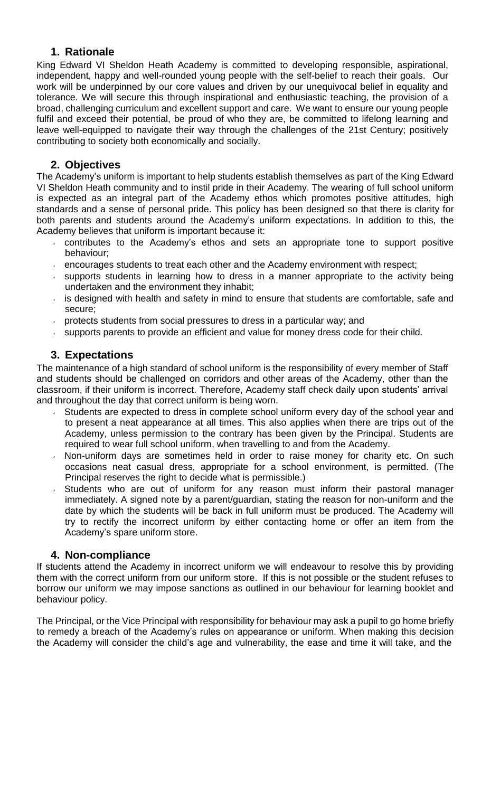### **1. Rationale**

King Edward VI Sheldon Heath Academy is committed to developing responsible, aspirational, independent, happy and well-rounded young people with the self-belief to reach their goals. Our work will be underpinned by our core values and driven by our unequivocal belief in equality and tolerance. We will secure this through inspirational and enthusiastic teaching, the provision of a broad, challenging curriculum and excellent support and care. We want to ensure our young people fulfil and exceed their potential, be proud of who they are, be committed to lifelong learning and leave well-equipped to navigate their way through the challenges of the 21st Century; positively contributing to society both economically and socially.

### **2. Objectives**

The Academy's uniform is important to help students establish themselves as part of the King Edward VI Sheldon Heath community and to instil pride in their Academy. The wearing of full school uniform is expected as an integral part of the Academy ethos which promotes positive attitudes, high standards and a sense of personal pride. This policy has been designed so that there is clarity for both parents and students around the Academy's uniform expectations. In addition to this, the Academy believes that uniform is important because it:

- contributes to the Academy's ethos and sets an appropriate tone to support positive behaviour;
- encourages students to treat each other and the Academy environment with respect;
- supports students in learning how to dress in a manner appropriate to the activity being undertaken and the environment they inhabit;
- $\overline{a}$  is designed with health and safety in mind to ensure that students are comfortable, safe and secure;
- protects students from social pressures to dress in a particular way; and
- $\sim$  supports parents to provide an efficient and value for money dress code for their child.

### **3. Expectations**

The maintenance of a high standard of school uniform is the responsibility of every member of Staff and students should be challenged on corridors and other areas of the Academy, other than the classroom, if their uniform is incorrect. Therefore, Academy staff check daily upon students' arrival and throughout the day that correct uniform is being worn.

- Students are expected to dress in complete school uniform every day of the school year and to present a neat appearance at all times. This also applies when there are trips out of the Academy, unless permission to the contrary has been given by the Principal. Students are required to wear full school uniform, when travelling to and from the Academy.
- Non-uniform days are sometimes held in order to raise money for charity etc. On such occasions neat casual dress, appropriate for a school environment, is permitted. (The Principal reserves the right to decide what is permissible.)
- Students who are out of uniform for any reason must inform their pastoral manager immediately. A signed note by a parent/guardian, stating the reason for non-uniform and the date by which the students will be back in full uniform must be produced. The Academy will try to rectify the incorrect uniform by either contacting home or offer an item from the Academy's spare uniform store.

### **4. Non-compliance**

If students attend the Academy in incorrect uniform we will endeavour to resolve this by providing them with the correct uniform from our uniform store. If this is not possible or the student refuses to borrow our uniform we may impose sanctions as outlined in our behaviour for learning booklet and behaviour policy.

The Principal, or the Vice Principal with responsibility for behaviour may ask a pupil to go home briefly to remedy a breach of the Academy's rules on appearance or uniform. When making this decision the Academy will consider the child's age and vulnerability, the ease and time it will take, and the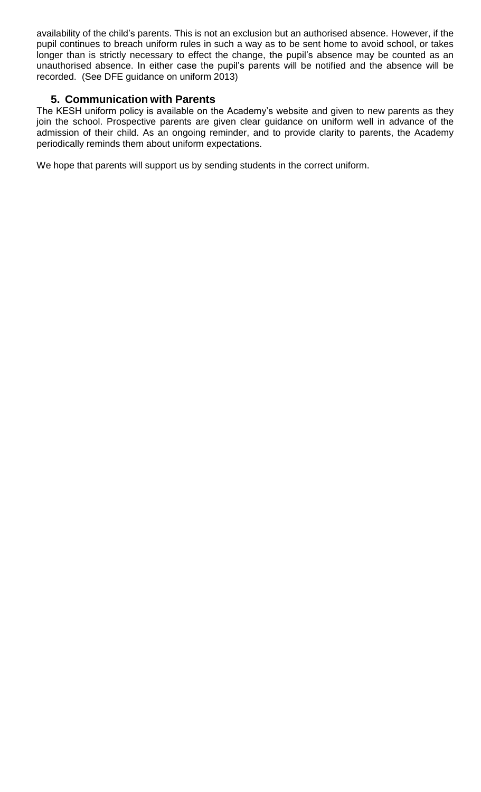availability of the child's parents. This is not an exclusion but an authorised absence. However, if the pupil continues to breach uniform rules in such a way as to be sent home to avoid school, or takes longer than is strictly necessary to effect the change, the pupil's absence may be counted as an unauthorised absence. In either case the pupil's parents will be notified and the absence will be recorded. (See DFE guidance on uniform 2013)

### **5. Communication with Parents**

The KESH uniform policy is available on the Academy's website and given to new parents as they join the school. Prospective parents are given clear guidance on uniform well in advance of the admission of their child. As an ongoing reminder, and to provide clarity to parents, the Academy periodically reminds them about uniform expectations.

We hope that parents will support us by sending students in the correct uniform.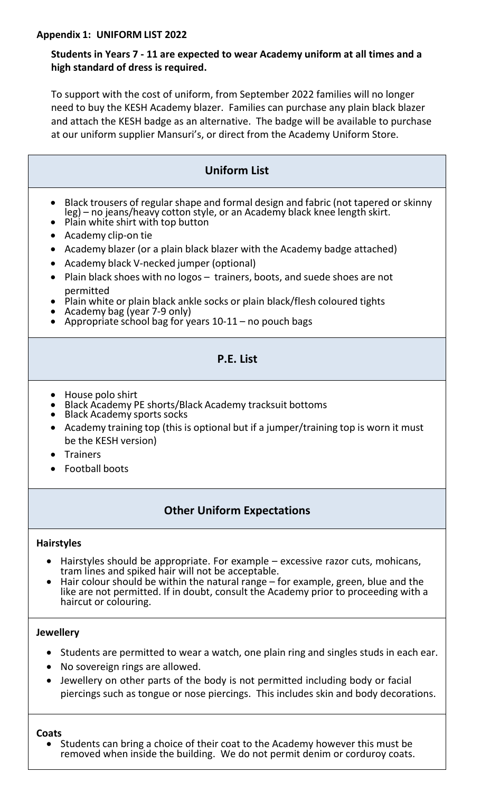### **Appendix 1: UNIFORM LIST 2022**

## **Students in Years 7 - 11 are expected to wear Academy uniform at all times and a high standard of dress is required.**

To support with the cost of uniform, from September 2022 families will no longer need to buy the KESH Academy blazer. Families can purchase any plain black blazer and attach the KESH badge as an alternative. The badge will be available to purchase at our uniform supplier Mansuri's, or direct from the Academy Uniform Store.

| <b>Uniform List</b>                                                                                                                                                                                                                                                                                                                                                                                                                                                                                                                                                                                                                                  |
|------------------------------------------------------------------------------------------------------------------------------------------------------------------------------------------------------------------------------------------------------------------------------------------------------------------------------------------------------------------------------------------------------------------------------------------------------------------------------------------------------------------------------------------------------------------------------------------------------------------------------------------------------|
| Black trousers of regular shape and formal design and fabric (not tapered or skinny<br>leg) – no jeans/heavy cotton style, or an Academy black knee length skirt.<br>Plain white shirt with top button<br>Academy clip-on tie<br>Academy blazer (or a plain black blazer with the Academy badge attached)<br>Academy black V-necked jumper (optional)<br>$\bullet$<br>Plain black shoes with no logos - trainers, boots, and suede shoes are not<br>$\bullet$<br>permitted<br>Plain white or plain black ankle socks or plain black/flesh coloured tights<br>Academy bag (year 7-9 only)<br>Appropriate school bag for years $10-11$ – no pouch bags |
| P.E. List                                                                                                                                                                                                                                                                                                                                                                                                                                                                                                                                                                                                                                            |
| House polo shirt<br>Black Academy PE shorts/Black Academy tracksuit bottoms<br><b>Black Academy sports socks</b><br>Academy training top (this is optional but if a jumper/training top is worn it must<br>$\bullet$<br>be the KESH version)<br><b>Trainers</b><br><b>Football boots</b>                                                                                                                                                                                                                                                                                                                                                             |

# **Other Uniform Expectations**

### **Hairstyles**

- Hairstyles should be appropriate. For example excessive razor cuts, mohicans, tram lines and spiked hair will not be acceptable.
- Hair colour should be within the natural range for example, green, blue and the like are not permitted. If in doubt, consult the Academy prior to proceeding with a haircut or colouring.

### **Jewellery**

- Students are permitted to wear a watch, one plain ring and singles studs in each ear.
- No sovereign rings are allowed.
- Jewellery on other parts of the body is not permitted including body or facial piercings such as tongue or nose piercings. This includes skin and body decorations.

#### **Coats**

 Students can bring a choice of their coat to the Academy however this must be removed when inside the building. We do not permit denim or corduroy coats.